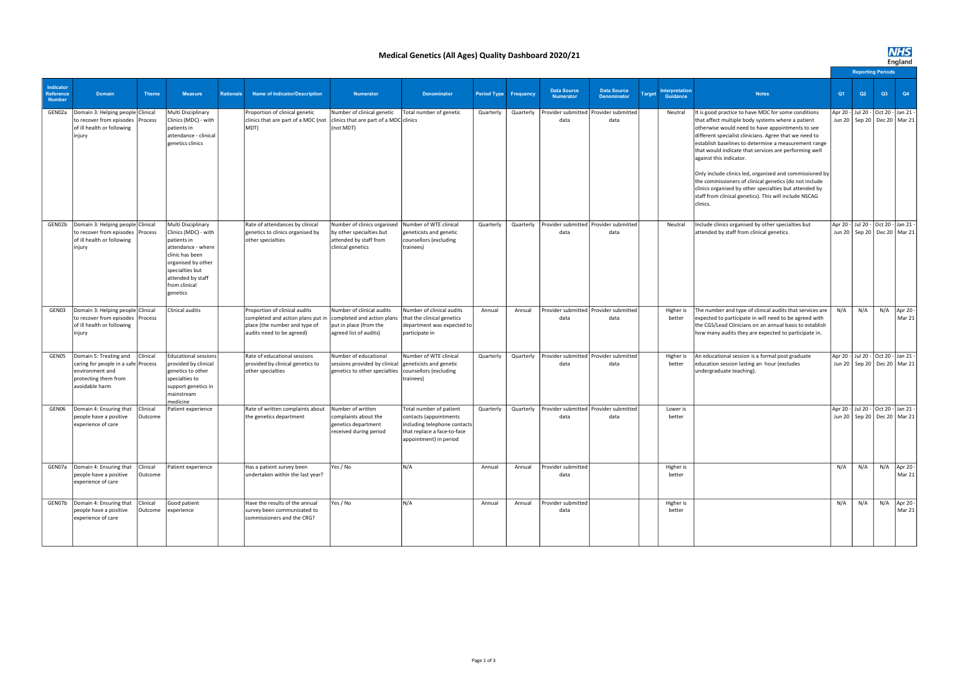|                                         |                                                                                                                                       |                     |                                                                                                                                                                                               |                  |                                                                                                                                  |                                                                                                                |                                                                                                                                            |                              |           |                                                 |                                          |        |                            |                                                                                                                                                                                                                                                                                                                                                                                                                                                                                                                                                                                                                         |                          |     |    |                                                                          |  |  | cngianu |  |  |  |  |  |  |
|-----------------------------------------|---------------------------------------------------------------------------------------------------------------------------------------|---------------------|-----------------------------------------------------------------------------------------------------------------------------------------------------------------------------------------------|------------------|----------------------------------------------------------------------------------------------------------------------------------|----------------------------------------------------------------------------------------------------------------|--------------------------------------------------------------------------------------------------------------------------------------------|------------------------------|-----------|-------------------------------------------------|------------------------------------------|--------|----------------------------|-------------------------------------------------------------------------------------------------------------------------------------------------------------------------------------------------------------------------------------------------------------------------------------------------------------------------------------------------------------------------------------------------------------------------------------------------------------------------------------------------------------------------------------------------------------------------------------------------------------------------|--------------------------|-----|----|--------------------------------------------------------------------------|--|--|---------|--|--|--|--|--|--|
|                                         |                                                                                                                                       |                     |                                                                                                                                                                                               |                  |                                                                                                                                  |                                                                                                                |                                                                                                                                            |                              |           |                                                 |                                          |        |                            |                                                                                                                                                                                                                                                                                                                                                                                                                                                                                                                                                                                                                         | <b>Reporting Periods</b> |     |    |                                                                          |  |  |         |  |  |  |  |  |  |
| Indicator<br>Reference<br><b>Number</b> | <b>Domain</b>                                                                                                                         | <b>Theme</b>        | <b>Measure</b>                                                                                                                                                                                | <b>Rationale</b> | <b>Name of Indicator/Description</b>                                                                                             | <b>Numerator</b>                                                                                               | <b>Denominator</b>                                                                                                                         | <b>Period Type Frequency</b> |           | <b>Data Source</b><br><b>Numerator</b>          | <b>Data Source</b><br><b>Denominator</b> | Target | Interpretation<br>Guidance | <b>Notes</b>                                                                                                                                                                                                                                                                                                                                                                                                                                                                                                                                                                                                            | Q1                       | Q2  | Q3 | Q4                                                                       |  |  |         |  |  |  |  |  |  |
| GEN02a                                  | Domain 3: Helping people Clinical<br>to recover from episodes Process<br>of ill health or following<br>injury                         |                     | Multi Disciplinary<br>Clinics (MDC) - with<br>patients in<br>attendance - clinical<br>genetics clinics                                                                                        |                  | Proportion of clinical genetic<br>clinics that are part of a MDC (not<br>(TOM                                                    | Number of clinical genetic<br>clinics that are part of a MDC clinics<br>(not MDT)                              | Total number of genetic                                                                                                                    | Quarterly                    | Quarterly | Provider submitted   Provider submitted<br>data | data                                     |        | Neutral                    | It is good practice to have MDC for some conditions<br>that affect multiple body systems where a patient<br>otherwise would need to have appointments to see<br>different specialist clinicians. Agree that we need to<br>establish baselines to determine a measurement range<br>that would indicate that services are performing well<br>against this indicator.<br>Only include clinics led, organised and commissioned by<br>the commissioners of clinical genetics (do not include<br>clinics organised by other specialties but attended by<br>staff from clinical genetics). This will include NSCAG<br>clinics. |                          |     |    | Apr 20 - Jul 20 - Oct 20 - Jan 21 -<br>Jun 20   Sep 20   Dec 20   Mar 21 |  |  |         |  |  |  |  |  |  |
| GEN02b                                  | Domain 3: Helping people Clinical<br>to recover from episodes Process<br>of ill health or following<br>injury                         |                     | Multi Disciplinary<br>Clinics (MDC) - with<br>patients in<br>attendance - where<br>clinic has been<br>organised by other<br>specialties but<br>attended by staff<br>from clinical<br>genetics |                  | Rate of attendances by clinical<br>genetics to clinics organised by<br>other specialties                                         | Number of clinics organised<br>by other specialties but<br>attended by staff from<br>clinical genetics         | Number of WTE clinical<br>geneticists and genetic<br>counsellors (excluding<br>trainees)                                                   | Quarterly                    | Quarterly | Provider submitted   Provider submitted<br>data | data                                     |        | Neutral                    | Include clinics organised by other specialties but<br>attended by staff from clinical genetics.                                                                                                                                                                                                                                                                                                                                                                                                                                                                                                                         |                          |     |    | Apr 20 - Jul 20 - Oct 20 - Jan 21 -<br>Jun 20   Sep 20   Dec 20   Mar 21 |  |  |         |  |  |  |  |  |  |
| GEN03                                   | Domain 3: Helping people Clinical<br>to recover from episodes Process<br>of ill health or following<br>injury                         |                     | Clinical audits                                                                                                                                                                               |                  | Proportion of clinical audits<br>completed and action plans put in<br>place (the number and type of<br>audits need to be agreed) | Number of clinical audits<br>completed and action plans<br>put in place (from the<br>agreed list of audits)    | Number of clinical audits<br>that the clinical genetics<br>department was expected to<br>participate in                                    | Annual                       | Annual    | Provider submitted   Provider submitted<br>data | data                                     |        | Higher is<br>better        | The number and type of clinical audits that services are<br>expected to participate in will need to be agreed with<br>the CGS/Lead Clinicians on an annual basis to establish<br>how many audits they are expected to participate in.                                                                                                                                                                                                                                                                                                                                                                                   | N/A                      | N/A |    | $N/A$ Apr 20 -<br>Mar 21                                                 |  |  |         |  |  |  |  |  |  |
| GEN05                                   | Domain 5: Treating and   Clinical<br>caring for people in a safe Process<br>environment and<br>protecting them from<br>avoidable harm |                     | <b>Educational sessions</b><br>provided by clinical<br>genetics to other<br>specialties to<br>support genetics in<br>mainstream<br>medicine                                                   |                  | Rate of educational sessions<br>provided by clinical genetics to<br>other specialties                                            | Number of educational<br>sessions provided by clinical<br>genetics to other specialties counsellors (excluding | Number of WTE clinical<br>geneticists and genetic<br>trainees)                                                                             | Quarterly                    | Quarterly | Provider submitted   Provider submitted<br>data | data                                     |        | Higher is<br>better        | An educational session is a formal post graduate<br>education session lasting an hour (excludes<br>undergraduate teaching).                                                                                                                                                                                                                                                                                                                                                                                                                                                                                             |                          |     |    | Apr 20 - Jul 20 - Oct 20 - Jan 21 -<br>Jun 20   Sep 20   Dec 20   Mar 21 |  |  |         |  |  |  |  |  |  |
| GEN06                                   | Domain 4: Ensuring that<br>people have a positive<br>experience of care                                                               | Clinical<br>Outcome | Patient experience                                                                                                                                                                            |                  | Rate of written complaints about<br>the genetics department                                                                      | Number of written<br>complaints about the<br>genetics department<br>received during period                     | Total number of patient<br>contacts (appointments<br>including telephone contacts<br>that replace a face-to-face<br>appointment) in period | Quarterly                    | Quarterly | Provider submitted   Provider submitted<br>data | data                                     |        | Lower is<br>better         |                                                                                                                                                                                                                                                                                                                                                                                                                                                                                                                                                                                                                         |                          |     |    | Apr 20 - Jul 20 - Oct 20 - Jan 21 -<br>Jun 20   Sep 20   Dec 20   Mar 21 |  |  |         |  |  |  |  |  |  |
|                                         | GEN07a   Domain 4: Ensuring that<br>people have a positive<br>experience of care                                                      | Clinical<br>Outcome | Patient experience                                                                                                                                                                            |                  | Has a patient survey been<br>undertaken within the last year?                                                                    | Yes / No                                                                                                       | N/A                                                                                                                                        | Annual                       | Annual    | Provider submitted<br>data                      |                                          |        | Higher is<br>better        |                                                                                                                                                                                                                                                                                                                                                                                                                                                                                                                                                                                                                         | N/A                      | N/A |    | $N/A$ Apr 20 -<br>Mar 21                                                 |  |  |         |  |  |  |  |  |  |
| GEN07b                                  | Domain 4: Ensuring that<br>people have a positive<br>experience of care                                                               | Clinical<br>Outcome | Good patient<br>experience                                                                                                                                                                    |                  | Have the results of the annual<br>survey been communicated to<br>commissioners and the CRG?                                      | Yes / No                                                                                                       | N/A                                                                                                                                        | Annual                       | Annual    | Provider submitted<br>data                      |                                          |        | Higher is<br>better        |                                                                                                                                                                                                                                                                                                                                                                                                                                                                                                                                                                                                                         | N/A                      | N/A |    | $N/A$ Apr 20 -<br>Mar 21                                                 |  |  |         |  |  |  |  |  |  |

## Medical Genetics (All Ages) Quality Dashboard 2020/21

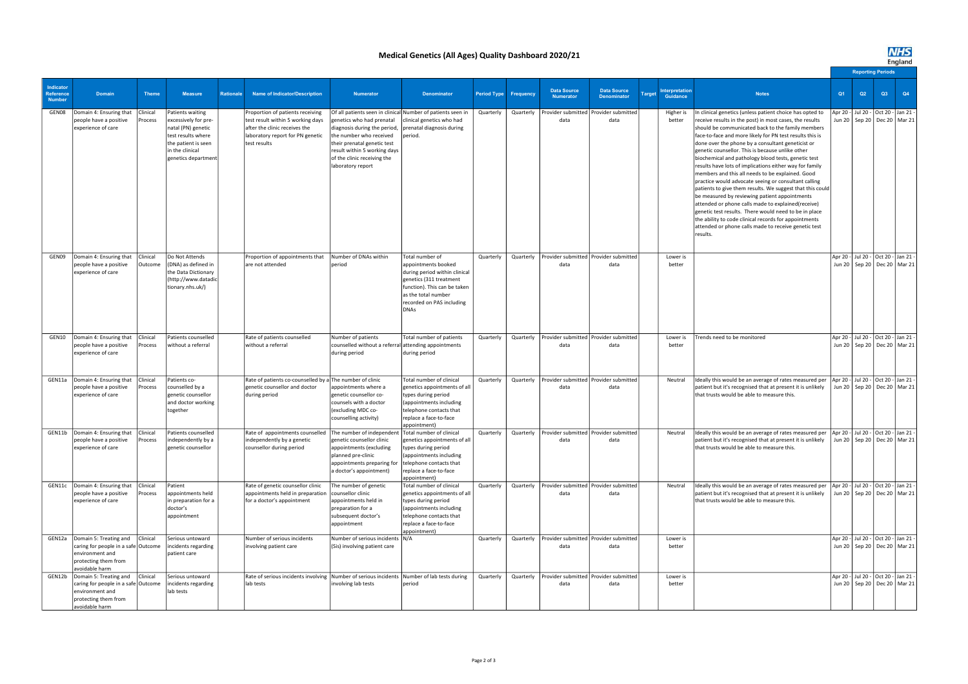## Medical Genetics (All Ages) Quality Dashboard 2020/21

|                                                |                                                                                                                            |                     |                                                                                                                                                       |                  |                                                                                                                                                             |                                                                                                                                                                                                                                                                                                  |                                                                                                                                                                                                       |                              |           |                                                             |                                          |                                                   |                                                                                                                                                                                                                                                                                                                                                                                                                                                                                                                                                                                                                                                                                                                                                                                                                                                                                                                                       |                | England |                          |                                                                                  |  |  |  |  |
|------------------------------------------------|----------------------------------------------------------------------------------------------------------------------------|---------------------|-------------------------------------------------------------------------------------------------------------------------------------------------------|------------------|-------------------------------------------------------------------------------------------------------------------------------------------------------------|--------------------------------------------------------------------------------------------------------------------------------------------------------------------------------------------------------------------------------------------------------------------------------------------------|-------------------------------------------------------------------------------------------------------------------------------------------------------------------------------------------------------|------------------------------|-----------|-------------------------------------------------------------|------------------------------------------|---------------------------------------------------|---------------------------------------------------------------------------------------------------------------------------------------------------------------------------------------------------------------------------------------------------------------------------------------------------------------------------------------------------------------------------------------------------------------------------------------------------------------------------------------------------------------------------------------------------------------------------------------------------------------------------------------------------------------------------------------------------------------------------------------------------------------------------------------------------------------------------------------------------------------------------------------------------------------------------------------|----------------|---------|--------------------------|----------------------------------------------------------------------------------|--|--|--|--|
|                                                |                                                                                                                            |                     |                                                                                                                                                       |                  |                                                                                                                                                             |                                                                                                                                                                                                                                                                                                  |                                                                                                                                                                                                       |                              |           |                                                             |                                          |                                                   |                                                                                                                                                                                                                                                                                                                                                                                                                                                                                                                                                                                                                                                                                                                                                                                                                                                                                                                                       |                |         | <b>Reporting Periods</b> |                                                                                  |  |  |  |  |
| Indicator<br><b>Reference</b><br><b>Number</b> | <b>Domain</b>                                                                                                              | <b>Theme</b>        | <b>Measure</b>                                                                                                                                        | <b>Rationale</b> | <b>Name of Indicator/Description</b>                                                                                                                        | <b>Numerator</b>                                                                                                                                                                                                                                                                                 | <b>Denominator</b>                                                                                                                                                                                    | <b>Period Type Frequency</b> |           | <b>Data Source</b><br><b>Numerator</b>                      | <b>Data Source</b><br><b>Denominator</b> | <b>nterpretation</b><br><b>Target</b><br>Guidance | <b>Notes</b>                                                                                                                                                                                                                                                                                                                                                                                                                                                                                                                                                                                                                                                                                                                                                                                                                                                                                                                          | O <sub>1</sub> | Q2      | Q3                       | Q4                                                                               |  |  |  |  |
| GEN08                                          | Domain 4: Ensuring that<br>people have a positive<br>experience of care                                                    | Clinical<br>Process | Patients waiting<br>excessively for pre-<br>natal (PN) genetic<br>test results where<br>the patient is seen<br>in the clinical<br>genetics department |                  | Proportion of patients receiving<br>test result within 5 working days<br>after the clinic receives the<br>laboratory report for PN genetic<br>ltest results | Of all patients seen in clinical Number of patients seen in<br>genetics who had prenatal<br>diagnosis during the period, prenatal diagnosis during<br>the number who received<br>their prenatal genetic test<br>result within 5 working days<br>of the clinic receiving the<br>laboratory report | clinical genetics who had<br>period.                                                                                                                                                                  | Quarterly                    |           | Quarterly   Provider submitted   Provider submitted<br>data | data                                     | Higher is<br>better                               | In clinical genetics (unless patient choice has opted to<br>receive results in the post) in most cases, the results<br>should be communicated back to the family members<br>face-to-face and more likely for PN test results this is<br>done over the phone by a consultant geneticist or<br>genetic counsellor. This is because unlike other<br>biochemical and pathology blood tests, genetic test<br>results have lots of implications either way for family<br>members and this all needs to be explained. Good<br>practice would advocate seeing or consultant calling<br>patients to give them results. We suggest that this could<br>be measured by reviewing patient appointments<br>attended or phone calls made to explained(receive)<br>genetic test results. There would need to be in place<br>the ability to code clinical records for appointments<br>attended or phone calls made to receive genetic test<br>results. |                |         |                          | Apr 20 - Jul 20 - Oct 20 - Jan 21 -<br>Jun 20   Sep 20   Dec 20   Mar 21         |  |  |  |  |
| GEN09                                          | Domain 4: Ensuring that<br>people have a positive<br>experience of care                                                    | Clinical<br>Outcome | Do Not Attends<br>(DNA) as defined in<br>the Data Dictionary<br>(http://www.datadic<br>tionary.nhs.uk/)                                               |                  | Proportion of appointments that<br>are not attended                                                                                                         | Number of DNAs within<br>period                                                                                                                                                                                                                                                                  | Total number of<br>appointments booked<br>during period within clinical<br>genetics (311 treatment<br>function). This can be taken<br>as the total number<br>recorded on PAS including<br><b>DNAs</b> | Quarterly                    | Quarterly | Provider submitted   Provider submitted<br>data             | data                                     | Lower is<br>better                                |                                                                                                                                                                                                                                                                                                                                                                                                                                                                                                                                                                                                                                                                                                                                                                                                                                                                                                                                       |                |         |                          | Apr 20 - Jul 20 - Oct 20 - Jan 21 -<br>Jun 20   Sep 20   Dec 20   Mar 21         |  |  |  |  |
| GEN10                                          | Domain 4: Ensuring that<br>people have a positive<br>experience of care                                                    | Clinical<br>Process | Patients counselled<br>without a referral                                                                                                             |                  | Rate of patients counselled<br>without a referral                                                                                                           | Number of patients<br>counselled without a referral attending appointments<br>during period                                                                                                                                                                                                      | Total number of patients<br>during period                                                                                                                                                             | Quarterly                    | Quarterly | Provider submitted   Provider submitted<br>data             | data                                     | Lower is<br>better                                | Trends need to be monitored                                                                                                                                                                                                                                                                                                                                                                                                                                                                                                                                                                                                                                                                                                                                                                                                                                                                                                           |                |         |                          | Apr 20 - Jul 20 - Oct 20 - Jan 21 -<br>Jun 20   Sep 20   Dec 20   Mar 21         |  |  |  |  |
| GEN11a                                         | Domain 4: Ensuring that<br>people have a positive<br>experience of care                                                    | Clinical<br>Process | Patients co-<br>counselled by a<br>genetic counsellor<br>and doctor working<br>together                                                               |                  | Rate of patients co-counselled by a The number of clinic<br>genetic counsellor and doctor<br>during period                                                  | appointments where a<br>genetic counsellor co-<br>counsels with a doctor<br>(excluding MDC co-<br>counselling activity)                                                                                                                                                                          | Total number of clinical<br>genetics appointments of all<br>types during period<br>(appointments including<br>telephone contacts that<br>replace a face-to-face<br>appointment)                       | Quarterly                    | Quarterly | Provider submitted   Provider submitted<br>data             | data                                     | Neutral                                           | Ideally this would be an average of rates measured per<br>patient but it's recognised that at present it is unlikely<br>that trusts would be able to measure this.                                                                                                                                                                                                                                                                                                                                                                                                                                                                                                                                                                                                                                                                                                                                                                    |                |         |                          | Apr 20 -   Jul 20 -   Oct 20 -   Jan 21 -  <br>Jun 20 Sep 20 Dec 20   Mar 21     |  |  |  |  |
| GEN11b                                         | Domain 4: Ensuring that<br>people have a positive<br>experience of care                                                    | Clinical<br>Process | Patients counselled<br>independently by a<br>genetic counsellor                                                                                       |                  | Rate of appointments counselled<br>independently by a genetic<br>counsellor during period                                                                   | The number of independen<br>genetic counsellor clinic<br>appointments (excluding<br>planned pre-clinic<br>appointments preparing for<br>a doctor's appointment)                                                                                                                                  | Total number of clinical<br>genetics appointments of all<br>types during period<br>(appointments including<br>telephone contacts that<br>replace a face-to-face<br>appointment)                       | Quarterly                    | Quarterly | Provider submitted   Provider submitted<br>data             | data                                     | Neutral                                           | Ideally this would be an average of rates measured per<br>patient but it's recognised that at present it is unlikely<br>that trusts would be able to measure this.                                                                                                                                                                                                                                                                                                                                                                                                                                                                                                                                                                                                                                                                                                                                                                    |                |         |                          | Apr 20 -   Jul 20 -   Oct 20 -   Jan 21 -  <br>Jun 20   Sep 20   Dec 20   Mar 21 |  |  |  |  |
| GEN11c                                         | Domain 4: Ensuring that<br>people have a positive<br>experience of care                                                    | Clinical<br>Process | Patient<br>appointments held<br>in preparation for a<br>doctor's<br>appointment                                                                       |                  | Rate of genetic counsellor clinic<br>appointments held in preparation<br>for a doctor's appointment                                                         | The number of genetic<br>counsellor clinic<br>appointments held in<br>preparation for a<br>subsequent doctor's<br>appointment                                                                                                                                                                    | Total number of clinical<br>genetics appointments of all<br>types during period<br>(appointments including<br>telephone contacts that<br>replace a face-to-face<br>appointment)                       | Quarterly                    | Quarterly | Provider submitted   Provider submitted<br>data             | data                                     | Neutral                                           | Ideally this would be an average of rates measured per<br>patient but it's recognised that at present it is unlikely<br>that trusts would be able to measure this.                                                                                                                                                                                                                                                                                                                                                                                                                                                                                                                                                                                                                                                                                                                                                                    |                |         |                          | Apr 20 - Jul 20 - Oct 20 - Jan 21 -<br>Jun 20   Sep 20   Dec 20   Mar 21         |  |  |  |  |
| GEN12a                                         | Domain 5: Treating and<br>caring for people in a safe Outcome<br>environment and<br>protecting them from<br>avoidable harm | Clinical            | Serious untoward<br>incidents regarding<br>patient care                                                                                               |                  | Number of serious incidents<br>involving patient care                                                                                                       | Number of serious incidents N/A<br>(Sis) involving patient care                                                                                                                                                                                                                                  |                                                                                                                                                                                                       | Quarterly                    | Quarterly | Provider submitted   Provider submitted<br>data             | data                                     | Lower is<br>better                                |                                                                                                                                                                                                                                                                                                                                                                                                                                                                                                                                                                                                                                                                                                                                                                                                                                                                                                                                       |                |         |                          | Apr 20 - Jul 20 - Oct 20 - Jan 21 -<br>Jun 20   Sep 20   Dec 20   Mar 21         |  |  |  |  |
| GEN12b                                         | Domain 5: Treating and<br>caring for people in a safe Outcome<br>environment and<br>protecting them from<br>avoidable harm | Clinical            | Serious untoward<br>incidents regarding<br>lab tests                                                                                                  |                  | Rate of serious incidents involving   Number of serious incidents   Number of lab tests during<br>lab tests                                                 | involving lab tests                                                                                                                                                                                                                                                                              | period                                                                                                                                                                                                | Quarterly                    | Quarterly | Provider submitted   Provider submitted<br>data             | data                                     | Lower is<br>better                                |                                                                                                                                                                                                                                                                                                                                                                                                                                                                                                                                                                                                                                                                                                                                                                                                                                                                                                                                       |                |         |                          | Apr 20 - Jul 20 - Oct 20 - Jan 21 -<br>Jun 20   Sep 20   Dec 20   Mar 21         |  |  |  |  |